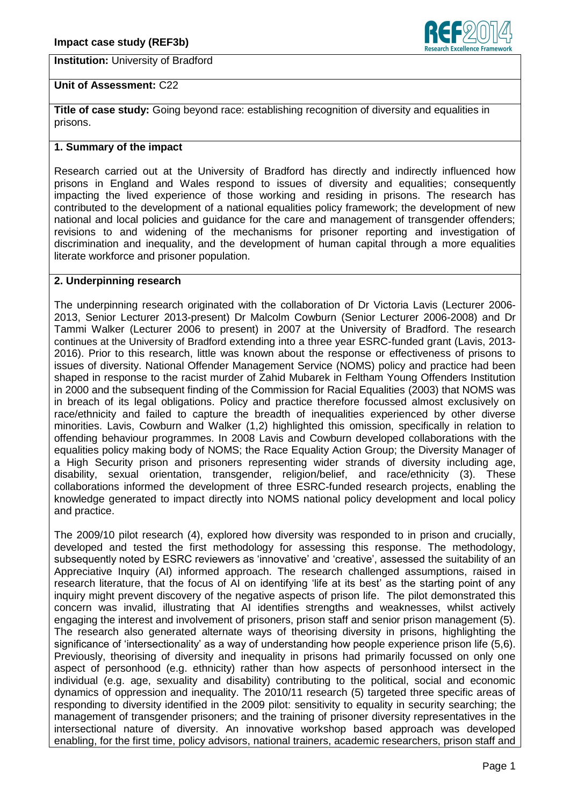**Institution: University of Bradford** 



# **Unit of Assessment:** C22

**Title of case study:** Going beyond race: establishing recognition of diversity and equalities in prisons.

### **1. Summary of the impact**

Research carried out at the University of Bradford has directly and indirectly influenced how prisons in England and Wales respond to issues of diversity and equalities; consequently impacting the lived experience of those working and residing in prisons. The research has contributed to the development of a national equalities policy framework; the development of new national and local policies and guidance for the care and management of transgender offenders; revisions to and widening of the mechanisms for prisoner reporting and investigation of discrimination and inequality, and the development of human capital through a more equalities literate workforce and prisoner population.

# **2. Underpinning research**

The underpinning research originated with the collaboration of Dr Victoria Lavis (Lecturer 2006- 2013, Senior Lecturer 2013-present) Dr Malcolm Cowburn (Senior Lecturer 2006-2008) and Dr Tammi Walker (Lecturer 2006 to present) in 2007 at the University of Bradford. The research continues at the University of Bradford extending into a three year ESRC-funded grant (Lavis, 2013- 2016). Prior to this research, little was known about the response or effectiveness of prisons to issues of diversity. National Offender Management Service (NOMS) policy and practice had been shaped in response to the racist murder of Zahid Mubarek in Feltham Young Offenders Institution in 2000 and the subsequent finding of the Commission for Racial Equalities (2003) that NOMS was in breach of its legal obligations. Policy and practice therefore focussed almost exclusively on race/ethnicity and failed to capture the breadth of inequalities experienced by other diverse minorities. Lavis, Cowburn and Walker (1,2) highlighted this omission, specifically in relation to offending behaviour programmes. In 2008 Lavis and Cowburn developed collaborations with the equalities policy making body of NOMS; the Race Equality Action Group; the Diversity Manager of a High Security prison and prisoners representing wider strands of diversity including age, disability, sexual orientation, transgender, religion/belief, and race/ethnicity (3). These collaborations informed the development of three ESRC-funded research projects, enabling the knowledge generated to impact directly into NOMS national policy development and local policy and practice.

The 2009/10 pilot research (4), explored how diversity was responded to in prison and crucially, developed and tested the first methodology for assessing this response. The methodology, subsequently noted by ESRC reviewers as 'innovative' and 'creative', assessed the suitability of an Appreciative Inquiry (AI) informed approach. The research challenged assumptions, raised in research literature, that the focus of AI on identifying 'life at its best' as the starting point of any inquiry might prevent discovery of the negative aspects of prison life. The pilot demonstrated this concern was invalid, illustrating that AI identifies strengths and weaknesses, whilst actively engaging the interest and involvement of prisoners, prison staff and senior prison management (5). The research also generated alternate ways of theorising diversity in prisons, highlighting the significance of 'intersectionality' as a way of understanding how people experience prison life (5,6). Previously, theorising of diversity and inequality in prisons had primarily focussed on only one aspect of personhood (e.g. ethnicity) rather than how aspects of personhood intersect in the individual (e.g. age, sexuality and disability) contributing to the political, social and economic dynamics of oppression and inequality. The 2010/11 research (5) targeted three specific areas of responding to diversity identified in the 2009 pilot: sensitivity to equality in security searching; the management of transgender prisoners; and the training of prisoner diversity representatives in the intersectional nature of diversity. An innovative workshop based approach was developed enabling, for the first time, policy advisors, national trainers, academic researchers, prison staff and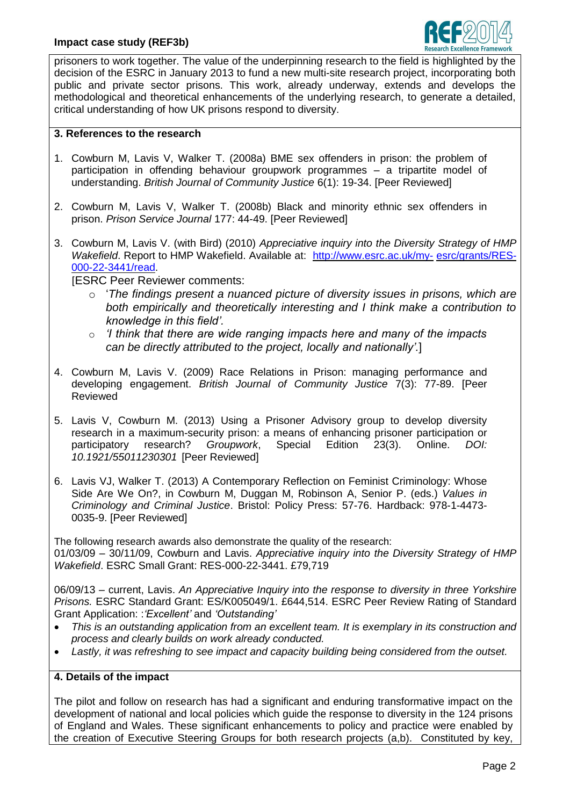

prisoners to work together. The value of the underpinning research to the field is highlighted by the decision of the ESRC in January 2013 to fund a new multi-site research project, incorporating both public and private sector prisons. This work, already underway, extends and develops the methodological and theoretical enhancements of the underlying research, to generate a detailed, critical understanding of how UK prisons respond to diversity.

#### **3. References to the research**

- 1. Cowburn M, Lavis V, Walker T. (2008a) BME sex offenders in prison: the problem of participation in offending behaviour groupwork programmes – a tripartite model of understanding. *British Journal of Community Justice* 6(1): 19-34. [Peer Reviewed]
- 2. Cowburn M, Lavis V, Walker T. (2008b) Black and minority ethnic sex offenders in prison. *Prison Service Journal* 177: 44-49. [Peer Reviewed]
- 3. Cowburn M, Lavis V. (with Bird) (2010) *Appreciative inquiry into the Diversity Strategy of HMP Wakefield*. Report to HMP Wakefield. Available at: [http://www.esrc.ac.uk/my-](http://www.esrc.ac.uk/my-esrc/grants/RES-000-22-3441/read) [esrc/grants/RES-](http://www.esrc.ac.uk/my-esrc/grants/RES-000-22-3441/read)[000-22-3441/read.](http://www.esrc.ac.uk/my-esrc/grants/RES-000-22-3441/read)

**IESRC Peer Reviewer comments:** 

- o '*The findings present a nuanced picture of diversity issues in prisons, which are both empirically and theoretically interesting and I think make a contribution to knowledge in this field'.*
- o *'I think that there are wide ranging impacts here and many of the impacts can be directly attributed to the project, locally and nationally'.*]
- 4. Cowburn M, Lavis V. (2009) Race Relations in Prison: managing performance and developing engagement. *British Journal of Community Justice* 7(3): 77-89. [Peer Reviewed
- 5. Lavis V, Cowburn M. (2013) Using a Prisoner Advisory group to develop diversity research in a maximum-security prison: a means of enhancing prisoner participation or participatory research? *Groupwork*, Special Edition 23(3). Online. *DOI: 10.1921/55011230301* [Peer Reviewed]
- 6. Lavis VJ, Walker T. (2013) A Contemporary Reflection on Feminist Criminology: Whose Side Are We On?, in Cowburn M, Duggan M, Robinson A, Senior P. (eds.) *Values in Criminology and Criminal Justice*. Bristol: Policy Press: 57-76. Hardback: 978-1-4473- 0035-9. [Peer Reviewed]

The following research awards also demonstrate the quality of the research: 01/03/09 – 30/11/09, Cowburn and Lavis. *Appreciative inquiry into the Diversity Strategy of HMP Wakefield*. ESRC Small Grant: RES-000-22-3441. £79,719

06/09/13 – current, Lavis. *An Appreciative Inquiry into the response to diversity in three Yorkshire Prisons.* ESRC Standard Grant: ES/K005049/1. £644,514. ESRC Peer Review Rating of Standard Grant Application: :*'Excellent'* and *'Outstanding'*

- *This is an outstanding application from an excellent team. It is exemplary in its construction and process and clearly builds on work already conducted.*
- *Lastly, it was refreshing to see impact and capacity building being considered from the outset.*

# **4. Details of the impact**

The pilot and follow on research has had a significant and enduring transformative impact on the development of national and local policies which guide the response to diversity in the 124 prisons of England and Wales. These significant enhancements to policy and practice were enabled by the creation of Executive Steering Groups for both research projects (a,b). Constituted by key,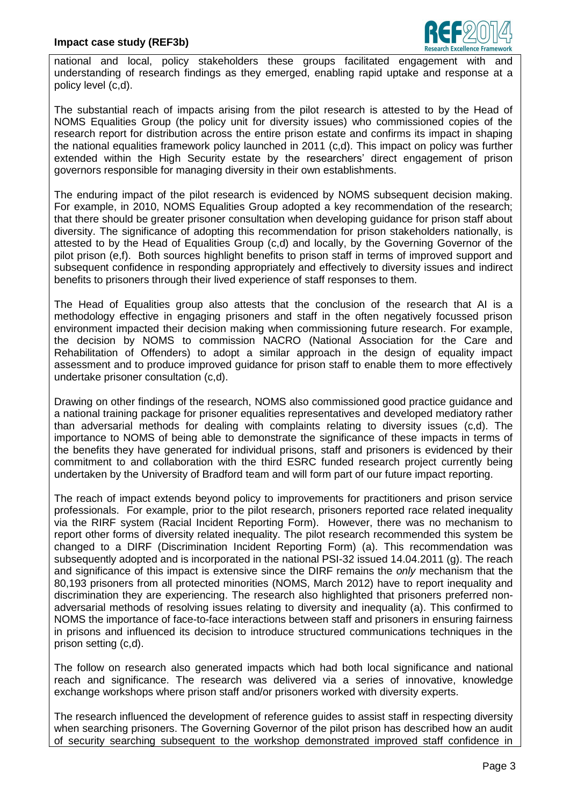

national and local, policy stakeholders these groups facilitated engagement with and understanding of research findings as they emerged, enabling rapid uptake and response at a policy level (c,d).

The substantial reach of impacts arising from the pilot research is attested to by the Head of NOMS Equalities Group (the policy unit for diversity issues) who commissioned copies of the research report for distribution across the entire prison estate and confirms its impact in shaping the national equalities framework policy launched in 2011 (c,d). This impact on policy was further extended within the High Security estate by the researchers' direct engagement of prison governors responsible for managing diversity in their own establishments.

The enduring impact of the pilot research is evidenced by NOMS subsequent decision making. For example, in 2010, NOMS Equalities Group adopted a key recommendation of the research; that there should be greater prisoner consultation when developing guidance for prison staff about diversity. The significance of adopting this recommendation for prison stakeholders nationally, is attested to by the Head of Equalities Group (c,d) and locally, by the Governing Governor of the pilot prison (e,f). Both sources highlight benefits to prison staff in terms of improved support and subsequent confidence in responding appropriately and effectively to diversity issues and indirect benefits to prisoners through their lived experience of staff responses to them.

The Head of Equalities group also attests that the conclusion of the research that AI is a methodology effective in engaging prisoners and staff in the often negatively focussed prison environment impacted their decision making when commissioning future research. For example, the decision by NOMS to commission NACRO (National Association for the Care and Rehabilitation of Offenders) to adopt a similar approach in the design of equality impact assessment and to produce improved guidance for prison staff to enable them to more effectively undertake prisoner consultation (c,d).

Drawing on other findings of the research, NOMS also commissioned good practice guidance and a national training package for prisoner equalities representatives and developed mediatory rather than adversarial methods for dealing with complaints relating to diversity issues (c,d). The importance to NOMS of being able to demonstrate the significance of these impacts in terms of the benefits they have generated for individual prisons, staff and prisoners is evidenced by their commitment to and collaboration with the third ESRC funded research project currently being undertaken by the University of Bradford team and will form part of our future impact reporting.

The reach of impact extends beyond policy to improvements for practitioners and prison service professionals. For example, prior to the pilot research, prisoners reported race related inequality via the RIRF system (Racial Incident Reporting Form). However, there was no mechanism to report other forms of diversity related inequality. The pilot research recommended this system be changed to a DIRF (Discrimination Incident Reporting Form) (a). This recommendation was subsequently adopted and is incorporated in the national PSI-32 issued 14.04.2011 (g). The reach and significance of this impact is extensive since the DIRF remains the *only* mechanism that the 80,193 prisoners from all protected minorities (NOMS, March 2012) have to report inequality and discrimination they are experiencing. The research also highlighted that prisoners preferred nonadversarial methods of resolving issues relating to diversity and inequality (a). This confirmed to NOMS the importance of face-to-face interactions between staff and prisoners in ensuring fairness in prisons and influenced its decision to introduce structured communications techniques in the prison setting (c,d).

The follow on research also generated impacts which had both local significance and national reach and significance. The research was delivered via a series of innovative, knowledge exchange workshops where prison staff and/or prisoners worked with diversity experts.

The research influenced the development of reference guides to assist staff in respecting diversity when searching prisoners. The Governing Governor of the pilot prison has described how an audit of security searching subsequent to the workshop demonstrated improved staff confidence in